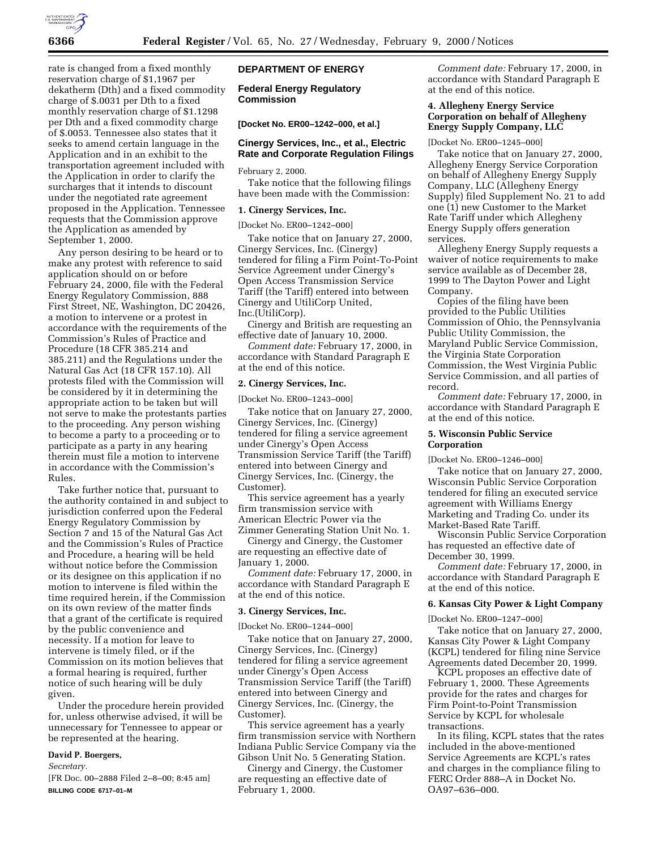

rate is changed from a fixed monthly reservation charge of \$1,1967 per dekatherm (Dth) and a fixed commodity charge of \$.0031 per Dth to a fixed monthly reservation charge of \$1.1298 per Dth and a fixed commodity charge of \$.0053. Tennessee also states that it seeks to amend certain language in the Application and in an exhibit to the transportation agreement included with the Application in order to clarify the surcharges that it intends to discount under the negotiated rate agreement proposed in the Application. Tennessee requests that the Commission approve the Application as amended by September 1, 2000.

Any person desiring to be heard or to make any protest with reference to said application should on or before February 24, 2000, file with the Federal Energy Regulatory Commission, 888 First Street, NE, Washington, DC 20426, a motion to intervene or a protest in accordance with the requirements of the Commission's Rules of Practice and Procedure (18 CFR 385.214 and 385.211) and the Regulations under the Natural Gas Act (18 CFR 157.10). All protests filed with the Commission will be considered by it in determining the appropriate action to be taken but will not serve to make the protestants parties to the proceeding. Any person wishing to become a party to a proceeding or to participate as a party in any hearing therein must file a motion to intervene in accordance with the Commission's Rules.

Take further notice that, pursuant to the authority contained in and subject to jurisdiction conferred upon the Federal Energy Regulatory Commission by Section 7 and 15 of the Natural Gas Act and the Commission's Rules of Practice and Procedure, a hearing will be held without notice before the Commission or its designee on this application if no motion to intervene is filed within the time required herein, if the Commission on its own review of the matter finds that a grant of the certificate is required by the public convenience and necessity. If a motion for leave to intervene is timely filed, or if the Commission on its motion believes that a formal hearing is required, further notice of such hearing will be duly given.

Under the procedure herein provided for, unless otherwise advised, it will be unnecessary for Tennessee to appear or be represented at the hearing.

# **David P. Boergers,**

*Secretary.*

[FR Doc. 00–2888 Filed 2–8–00; 8:45 am] **BILLING CODE 6717–01–M**

# **DEPARTMENT OF ENERGY**

**Federal Energy Regulatory Commission**

**[Docket No. ER00–1242–000, et al.]**

### **Cinergy Services, Inc., et al., Electric Rate and Corporate Regulation Filings**

February 2, 2000.

Take notice that the following filings have been made with the Commission:

# **1. Cinergy Services, Inc.**

[Docket No. ER00–1242–000]

Take notice that on January 27, 2000, Cinergy Services, Inc. (Cinergy) tendered for filing a Firm Point-To-Point Service Agreement under Cinergy's Open Access Transmission Service Tariff (the Tariff) entered into between Cinergy and UtiliCorp United, Inc.(UtiliCorp).

Cinergy and British are requesting an effective date of January 10, 2000.

*Comment date:* February 17, 2000, in accordance with Standard Paragraph E at the end of this notice.

#### **2. Cinergy Services, Inc.**

[Docket No. ER00–1243–000]

Take notice that on January 27, 2000, Cinergy Services, Inc. (Cinergy) tendered for filing a service agreement under Cinergy's Open Access Transmission Service Tariff (the Tariff) entered into between Cinergy and Cinergy Services, Inc. (Cinergy, the Customer).

This service agreement has a yearly firm transmission service with American Electric Power via the Zimmer Generating Station Unit No. 1.

Cinergy and Cinergy, the Customer are requesting an effective date of January 1, 2000.

*Comment date:* February 17, 2000, in accordance with Standard Paragraph E at the end of this notice.

#### **3. Cinergy Services, Inc.**

[Docket No. ER00–1244–000]

Take notice that on January 27, 2000, Cinergy Services, Inc. (Cinergy) tendered for filing a service agreement under Cinergy's Open Access Transmission Service Tariff (the Tariff) entered into between Cinergy and Cinergy Services, Inc. (Cinergy, the Customer).

This service agreement has a yearly firm transmission service with Northern Indiana Public Service Company via the Gibson Unit No. 5 Generating Station.

Cinergy and Cinergy, the Customer are requesting an effective date of February 1, 2000.

*Comment date:* February 17, 2000, in accordance with Standard Paragraph E at the end of this notice.

# **4. Allegheny Energy Service Corporation on behalf of Allegheny Energy Supply Company, LLC**

[Docket No. ER00–1245–000]

Take notice that on January 27, 2000, Allegheny Energy Service Corporation on behalf of Allegheny Energy Supply Company, LLC (Allegheny Energy Supply) filed Supplement No. 21 to add one (1) new Customer to the Market Rate Tariff under which Allegheny Energy Supply offers generation services.

Allegheny Energy Supply requests a waiver of notice requirements to make service available as of December 28, 1999 to The Dayton Power and Light Company.

Copies of the filing have been provided to the Public Utilities Commission of Ohio, the Pennsylvania Public Utility Commission, the Maryland Public Service Commission, the Virginia State Corporation Commission, the West Virginia Public Service Commission, and all parties of record.

*Comment date:* February 17, 2000, in accordance with Standard Paragraph E at the end of this notice.

### **5. Wisconsin Public Service Corporation**

[Docket No. ER00–1246–000]

Take notice that on January 27, 2000, Wisconsin Public Service Corporation tendered for filing an executed service agreement with Williams Energy Marketing and Trading Co. under its Market-Based Rate Tariff.

Wisconsin Public Service Corporation has requested an effective date of December 30, 1999.

*Comment date:* February 17, 2000, in accordance with Standard Paragraph E at the end of this notice.

### **6. Kansas City Power & Light Company**

[Docket No. ER00–1247–000]

Take notice that on January 27, 2000, Kansas City Power & Light Company (KCPL) tendered for filing nine Service Agreements dated December 20, 1999.

KCPL proposes an effective date of February 1, 2000. These Agreements provide for the rates and charges for Firm Point-to-Point Transmission Service by KCPL for wholesale transactions.

In its filing, KCPL states that the rates included in the above-mentioned Service Agreements are KCPL's rates and charges in the compliance filing to FERC Order 888–A in Docket No. OA97–636–000.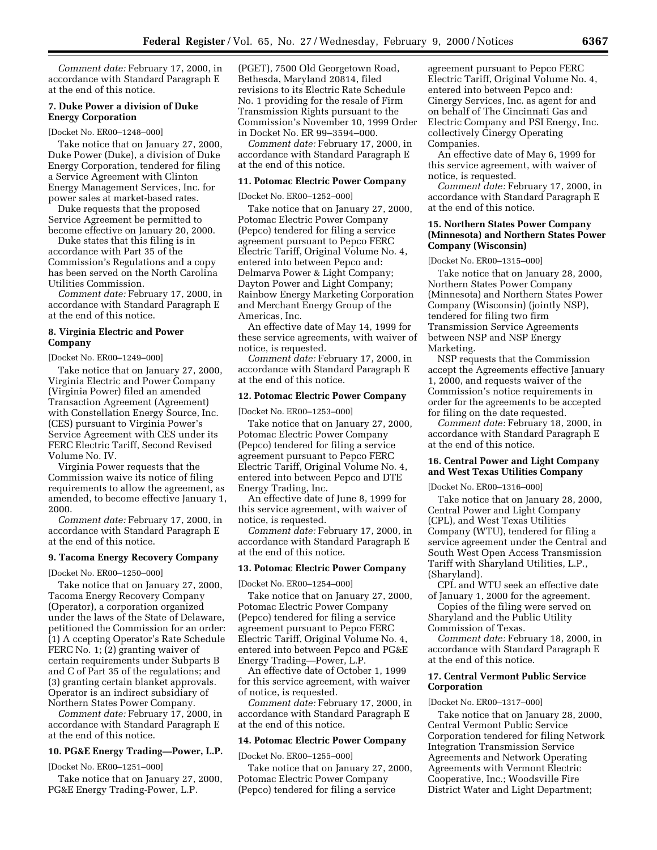*Comment date:* February 17, 2000, in accordance with Standard Paragraph E at the end of this notice.

#### **7. Duke Power a division of Duke Energy Corporation**

[Docket No. ER00–1248–000]

Take notice that on January 27, 2000, Duke Power (Duke), a division of Duke Energy Corporation, tendered for filing a Service Agreement with Clinton Energy Management Services, Inc. for power sales at market-based rates.

Duke requests that the proposed Service Agreement be permitted to become effective on January 20, 2000.

Duke states that this filing is in accordance with Part 35 of the Commission's Regulations and a copy has been served on the North Carolina Utilities Commission.

*Comment date:* February 17, 2000, in accordance with Standard Paragraph E at the end of this notice.

# **8. Virginia Electric and Power Company**

[Docket No. ER00–1249–000]

Take notice that on January 27, 2000, Virginia Electric and Power Company (Virginia Power) filed an amended Transaction Agreement (Agreement) with Constellation Energy Source, Inc. (CES) pursuant to Virginia Power's Service Agreement with CES under its FERC Electric Tariff, Second Revised Volume No. IV.

Virginia Power requests that the Commission waive its notice of filing requirements to allow the agreement, as amended, to become effective January 1, 2000.

*Comment date:* February 17, 2000, in accordance with Standard Paragraph E at the end of this notice.

#### **9. Tacoma Energy Recovery Company**

[Docket No. ER00–1250–000]

Take notice that on January 27, 2000, Tacoma Energy Recovery Company (Operator), a corporation organized under the laws of the State of Delaware, petitioned the Commission for an order: (1) A ccepting Operator's Rate Schedule FERC No. 1; (2) granting waiver of certain requirements under Subparts B and C of Part 35 of the regulations; and (3) granting certain blanket approvals. Operator is an indirect subsidiary of Northern States Power Company.

*Comment date:* February 17, 2000, in accordance with Standard Paragraph E at the end of this notice.

# **10. PG&E Energy Trading—Power, L.P.**

[Docket No. ER00–1251–000]

Take notice that on January 27, 2000, PG&E Energy Trading-Power, L.P.

(PGET), 7500 Old Georgetown Road, Bethesda, Maryland 20814, filed revisions to its Electric Rate Schedule No. 1 providing for the resale of Firm Transmission Rights pursuant to the Commission's November 10, 1999 Order in Docket No. ER 99–3594–000.

*Comment date:* February 17, 2000, in accordance with Standard Paragraph E at the end of this notice.

### **11. Potomac Electric Power Company**

[Docket No. ER00–1252–000]

Take notice that on January 27, 2000, Potomac Electric Power Company (Pepco) tendered for filing a service agreement pursuant to Pepco FERC Electric Tariff, Original Volume No. 4, entered into between Pepco and: Delmarva Power & Light Company; Dayton Power and Light Company; Rainbow Energy Marketing Corporation and Merchant Energy Group of the Americas, Inc.

An effective date of May 14, 1999 for these service agreements, with waiver of notice, is requested.

*Comment date:* February 17, 2000, in accordance with Standard Paragraph E at the end of this notice.

#### **12. Potomac Electric Power Company**

[Docket No. ER00–1253–000]

Take notice that on January 27, 2000, Potomac Electric Power Company (Pepco) tendered for filing a service agreement pursuant to Pepco FERC Electric Tariff, Original Volume No. 4, entered into between Pepco and DTE Energy Trading, Inc.

An effective date of June 8, 1999 for this service agreement, with waiver of notice, is requested.

*Comment date:* February 17, 2000, in accordance with Standard Paragraph E at the end of this notice.

#### **13. Potomac Electric Power Company**

[Docket No. ER00–1254–000]

Take notice that on January 27, 2000, Potomac Electric Power Company (Pepco) tendered for filing a service agreement pursuant to Pepco FERC Electric Tariff, Original Volume No. 4, entered into between Pepco and PG&E Energy Trading—Power, L.P.

An effective date of October 1, 1999 for this service agreement, with waiver of notice, is requested.

*Comment date:* February 17, 2000, in accordance with Standard Paragraph E at the end of this notice.

#### **14. Potomac Electric Power Company**

[Docket No. ER00–1255–000]

Take notice that on January 27, 2000, Potomac Electric Power Company (Pepco) tendered for filing a service

agreement pursuant to Pepco FERC Electric Tariff, Original Volume No. 4, entered into between Pepco and: Cinergy Services, Inc. as agent for and on behalf of The Cincinnati Gas and Electric Company and PSI Energy, Inc. collectively Cinergy Operating Companies.

An effective date of May 6, 1999 for this service agreement, with waiver of notice, is requested.

*Comment date:* February 17, 2000, in accordance with Standard Paragraph E at the end of this notice.

## **15. Northern States Power Company (Minnesota) and Northern States Power Company (Wisconsin)**

[Docket No. ER00–1315–000]

Take notice that on January 28, 2000, Northern States Power Company (Minnesota) and Northern States Power Company (Wisconsin) (jointly NSP), tendered for filing two firm Transmission Service Agreements between NSP and NSP Energy Marketing.

NSP requests that the Commission accept the Agreements effective January 1, 2000, and requests waiver of the Commission's notice requirements in order for the agreements to be accepted for filing on the date requested.

*Comment date:* February 18, 2000, in accordance with Standard Paragraph E at the end of this notice.

### **16. Central Power and Light Company and West Texas Utilities Company**

[Docket No. ER00–1316–000]

Take notice that on January 28, 2000, Central Power and Light Company (CPL), and West Texas Utilities Company (WTU), tendered for filing a service agreement under the Central and South West Open Access Transmission Tariff with Sharyland Utilities, L.P., (Sharyland).

CPL and WTU seek an effective date of January 1, 2000 for the agreement.

Copies of the filing were served on Sharyland and the Public Utility Commission of Texas.

*Comment date:* February 18, 2000, in accordance with Standard Paragraph E at the end of this notice.

#### **17. Central Vermont Public Service Corporation**

#### [Docket No. ER00–1317–000]

Take notice that on January 28, 2000, Central Vermont Public Service Corporation tendered for filing Network Integration Transmission Service Agreements and Network Operating Agreements with Vermont Electric Cooperative, Inc.; Woodsville Fire District Water and Light Department;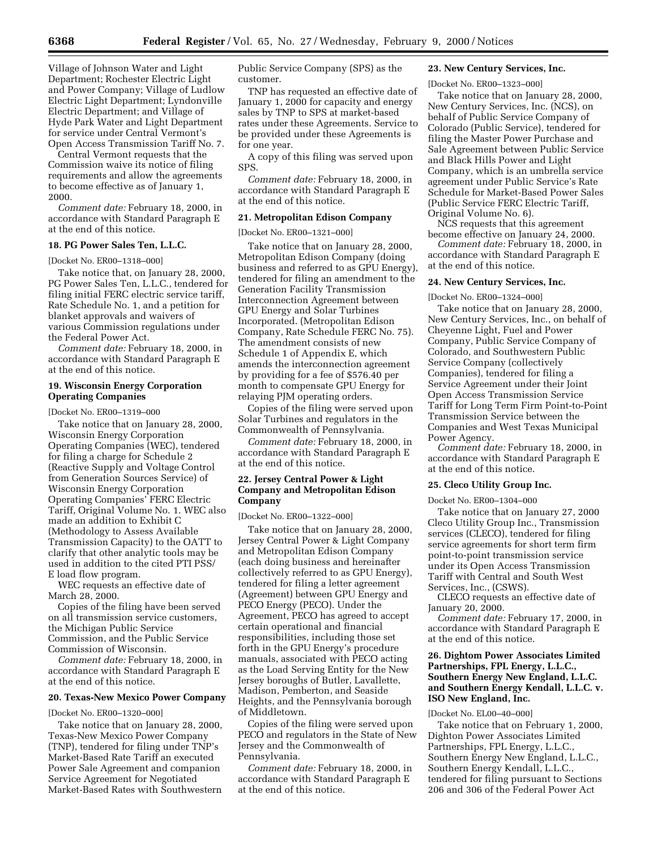Village of Johnson Water and Light Department; Rochester Electric Light and Power Company; Village of Ludlow Electric Light Department; Lyndonville Electric Department; and Village of Hyde Park Water and Light Department for service under Central Vermont's Open Access Transmission Tariff No. 7.

Central Vermont requests that the Commission waive its notice of filing requirements and allow the agreements to become effective as of January 1, 2000.

*Comment date:* February 18, 2000, in accordance with Standard Paragraph E at the end of this notice.

# **18. PG Power Sales Ten, L.L.C.**

[Docket No. ER00–1318–000]

Take notice that, on January 28, 2000, PG Power Sales Ten, L.L.C., tendered for filing initial FERC electric service tariff, Rate Schedule No. 1, and a petition for blanket approvals and waivers of various Commission regulations under the Federal Power Act.

*Comment date:* February 18, 2000, in accordance with Standard Paragraph E at the end of this notice.

## **19. Wisconsin Energy Corporation Operating Companies**

[Docket No. ER00–1319–000

Take notice that on January 28, 2000, Wisconsin Energy Corporation Operating Companies (WEC), tendered for filing a charge for Schedule 2 (Reactive Supply and Voltage Control from Generation Sources Service) of Wisconsin Energy Corporation Operating Companies' FERC Electric Tariff, Original Volume No. 1. WEC also made an addition to Exhibit C (Methodology to Assess Available Transmission Capacity) to the OATT to clarify that other analytic tools may be used in addition to the cited PTI PSS/ E load flow program.

WEC requests an effective date of March 28, 2000.

Copies of the filing have been served on all transmission service customers, the Michigan Public Service Commission, and the Public Service Commission of Wisconsin.

*Comment date:* February 18, 2000, in accordance with Standard Paragraph E at the end of this notice.

#### **20. Texas-New Mexico Power Company**

#### [Docket No. ER00–1320–000]

Take notice that on January 28, 2000, Texas-New Mexico Power Company (TNP), tendered for filing under TNP's Market-Based Rate Tariff an executed Power Sale Agreement and companion Service Agreement for Negotiated Market-Based Rates with Southwestern

Public Service Company (SPS) as the customer.

TNP has requested an effective date of January 1, 2000 for capacity and energy sales by TNP to SPS at market-based rates under these Agreements. Service to be provided under these Agreements is for one year.

A copy of this filing was served upon SPS.

*Comment date:* February 18, 2000, in accordance with Standard Paragraph E at the end of this notice.

#### **21. Metropolitan Edison Company**

[Docket No. ER00–1321–000]

Take notice that on January 28, 2000, Metropolitan Edison Company (doing business and referred to as GPU Energy), tendered for filing an amendment to the Generation Facility Transmission Interconnection Agreement between GPU Energy and Solar Turbines Incorporated. (Metropolitan Edison Company, Rate Schedule FERC No. 75). The amendment consists of new Schedule 1 of Appendix E, which amends the interconnection agreement by providing for a fee of \$576.40 per month to compensate GPU Energy for relaying PJM operating orders.

Copies of the filing were served upon Solar Turbines and regulators in the Commonwealth of Pennsylvania.

*Comment date:* February 18, 2000, in accordance with Standard Paragraph E at the end of this notice.

### **22. Jersey Central Power & Light Company and Metropolitan Edison Company**

[Docket No. ER00–1322–000]

Take notice that on January 28, 2000, Jersey Central Power & Light Company and Metropolitan Edison Company (each doing business and hereinafter collectively referred to as GPU Energy), tendered for filing a letter agreement (Agreement) between GPU Energy and PECO Energy (PECO). Under the Agreement, PECO has agreed to accept certain operational and financial responsibilities, including those set forth in the GPU Energy's procedure manuals, associated with PECO acting as the Load Serving Entity for the New Jersey boroughs of Butler, Lavallette, Madison, Pemberton, and Seaside Heights, and the Pennsylvania borough of Middletown.

Copies of the filing were served upon PECO and regulators in the State of New Jersey and the Commonwealth of Pennsylvania.

*Comment date:* February 18, 2000, in accordance with Standard Paragraph E at the end of this notice.

# **23. New Century Services, Inc.**

[Docket No. ER00–1323–000]

Take notice that on January 28, 2000, New Century Services, Inc. (NCS), on behalf of Public Service Company of Colorado (Public Service), tendered for filing the Master Power Purchase and Sale Agreement between Public Service and Black Hills Power and Light Company, which is an umbrella service agreement under Public Service's Rate Schedule for Market-Based Power Sales (Public Service FERC Electric Tariff, Original Volume No. 6).

NCS requests that this agreement become effective on January 24, 2000.

*Comment date:* February 18, 2000, in accordance with Standard Paragraph E at the end of this notice.

### **24. New Century Services, Inc.**

[Docket No. ER00–1324–000]

Take notice that on January 28, 2000, New Century Services, Inc., on behalf of Cheyenne Light, Fuel and Power Company, Public Service Company of Colorado, and Southwestern Public Service Company (collectively Companies), tendered for filing a Service Agreement under their Joint Open Access Transmission Service Tariff for Long Term Firm Point-to-Point Transmission Service between the Companies and West Texas Municipal Power Agency.

*Comment date:* February 18, 2000, in accordance with Standard Paragraph E at the end of this notice.

### **25. Cleco Utility Group Inc.**

Docket No. ER00–1304–000

Take notice that on January 27, 2000 Cleco Utility Group Inc., Transmission services (CLECO), tendered for filing service agreements for short term firm point-to-point transmission service under its Open Access Transmission Tariff with Central and South West Services, Inc., (CSWS).

CLECO requests an effective date of January 20, 2000.

*Comment date:* February 17, 2000, in accordance with Standard Paragraph E at the end of this notice.

# **26. Dightom Power Associates Limited Partnerships, FPL Energy, L.L.C., Southern Energy New England, L.L.C. and Southern Energy Kendall, L.L.C. v. ISO New England, Inc.**

#### [Docket No. EL00–40–000]

Take notice that on February 1, 2000, Dighton Power Associates Limited Partnerships, FPL Energy, L.L.C., Southern Energy New England, L.L.C., Southern Energy Kendall, L.L.C., tendered for filing pursuant to Sections 206 and 306 of the Federal Power Act